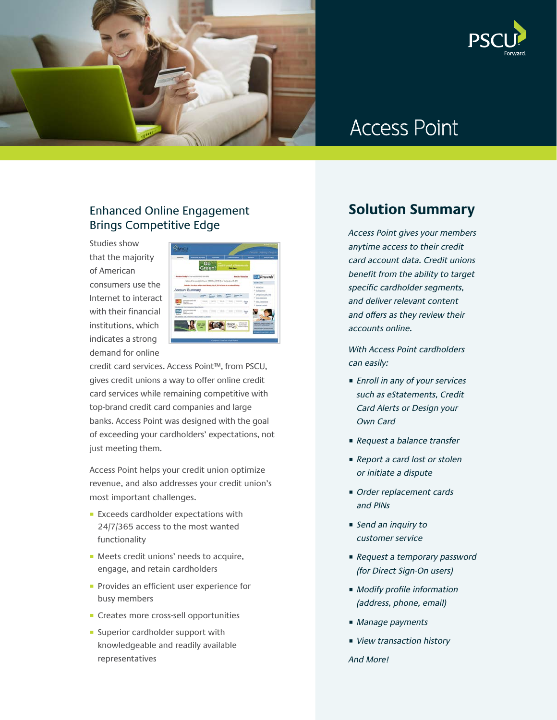



# Access Point

#### Enhanced Online Engagement Brings Competitive Edge

Studies show that the majority of American consumers use the Internet to interact with their financial institutions, which indicates a strong demand for online



credit card services. Access Point™, from PSCU, gives credit unions a way to offer online credit card services while remaining competitive with top-brand credit card companies and large banks. Access Point was designed with the goal of exceeding your cardholders' expectations, not just meeting them.

Access Point helps your credit union optimize revenue, and also addresses your credit union's most important challenges.

- Exceeds cardholder expectations with 24/7/365 access to the most wanted functionality
- Meets credit unions' needs to acquire, engage, and retain cardholders
- Provides an efficient user experience for busy members
- Creates more cross-sell opportunities
- Superior cardholder support with knowledgeable and readily available representatives

## **Solution Summary**

Access Point gives your members anytime access to their credit card account data. Credit unions benefit from the ability to target specific cardholder segments, and deliver relevant content and offers as they review their accounts online.

With Access Point cardholders can easily:

- Enroll in any of your services such as eStatements, Credit Card Alerts or Design your Own Card
- Request a balance transfer
- Report a card lost or stolen or initiate a dispute
- Order replacement cards and PINs
- Send an inquiry to customer service
- Request a temporary password (for Direct Sign-On users)
- Modify profile information (address, phone, email)
- Manage payments
- View transaction history

And More!